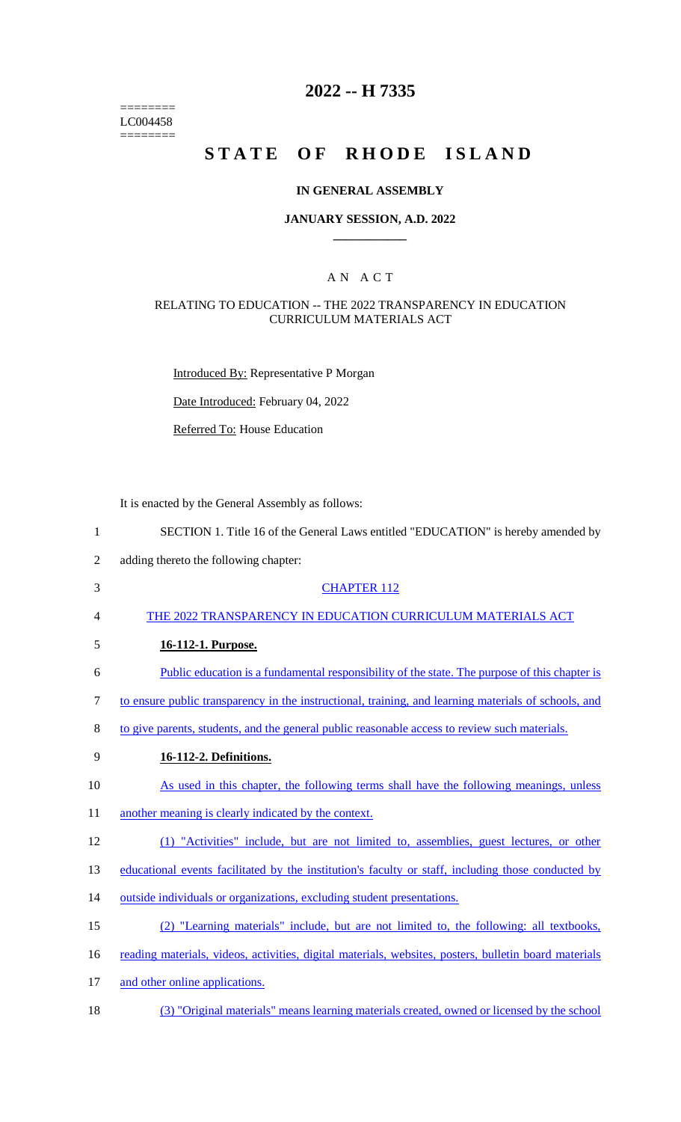======== LC004458  $=$ 

# **2022 -- H 7335**

# **STATE OF RHODE ISLAND**

## **IN GENERAL ASSEMBLY**

#### **JANUARY SESSION, A.D. 2022 \_\_\_\_\_\_\_\_\_\_\_\_**

## A N A C T

#### RELATING TO EDUCATION -- THE 2022 TRANSPARENCY IN EDUCATION CURRICULUM MATERIALS ACT

Introduced By: Representative P Morgan

Date Introduced: February 04, 2022

Referred To: House Education

It is enacted by the General Assembly as follows:

| $\mathbf{1}$   | SECTION 1. Title 16 of the General Laws entitled "EDUCATION" is hereby amended by                     |
|----------------|-------------------------------------------------------------------------------------------------------|
| $\mathfrak{2}$ | adding thereto the following chapter:                                                                 |
| 3              | <b>CHAPTER 112</b>                                                                                    |
| 4              | THE 2022 TRANSPARENCY IN EDUCATION CURRICULUM MATERIALS ACT                                           |
| 5              | 16-112-1. Purpose.                                                                                    |
| 6              | Public education is a fundamental responsibility of the state. The purpose of this chapter is         |
| 7              | to ensure public transparency in the instructional, training, and learning materials of schools, and  |
| 8              | to give parents, students, and the general public reasonable access to review such materials.         |
| 9              | 16-112-2. Definitions.                                                                                |
| 10             | As used in this chapter, the following terms shall have the following meanings, unless                |
| 11             | another meaning is clearly indicated by the context.                                                  |
| 12             | (1) "Activities" include, but are not limited to, assemblies, guest lectures, or other                |
| 13             | educational events facilitated by the institution's faculty or staff, including those conducted by    |
| 14             | outside individuals or organizations, excluding student presentations.                                |
| 15             | (2) "Learning materials" include, but are not limited to, the following: all textbooks,               |
| 16             | reading materials, videos, activities, digital materials, websites, posters, bulletin board materials |
| 17             | and other online applications.                                                                        |
| 18             | (3) "Original materials" means learning materials created, owned or licensed by the school            |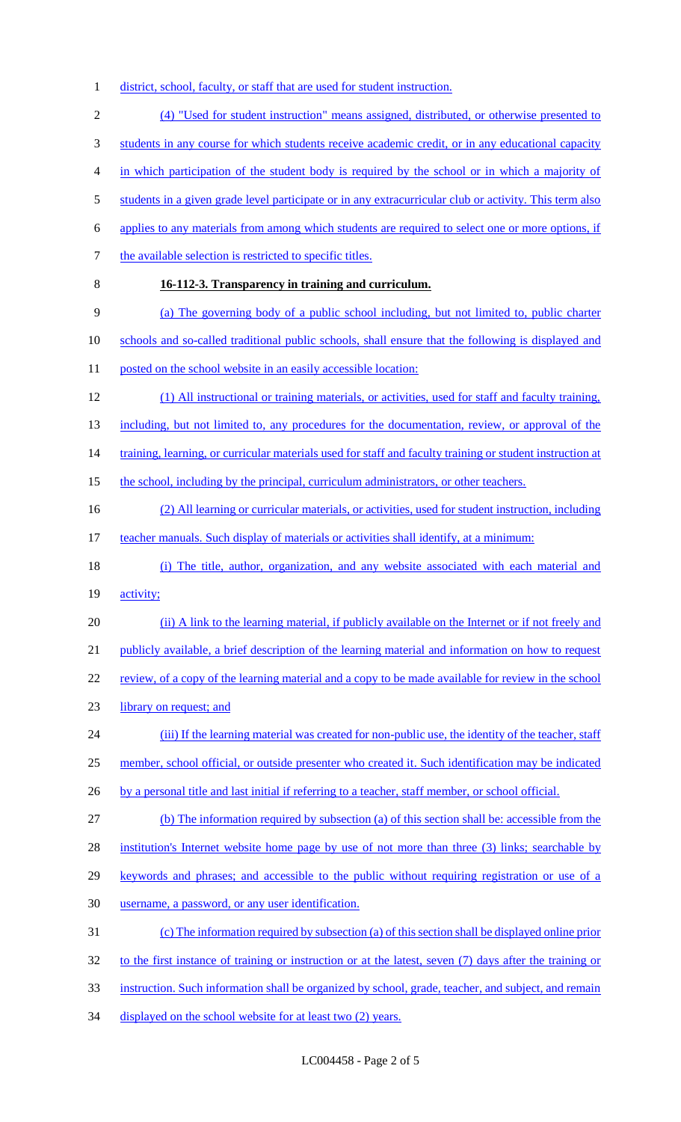1 district, school, faculty, or staff that are used for student instruction.

2 (4) "Used for student instruction" means assigned, distributed, or otherwise presented to 3 students in any course for which students receive academic credit, or in any educational capacity 4 in which participation of the student body is required by the school or in which a majority of 5 students in a given grade level participate or in any extracurricular club or activity. This term also 6 applies to any materials from among which students are required to select one or more options, if 7 the available selection is restricted to specific titles. 8 **16-112-3. Transparency in training and curriculum.**  9 (a) The governing body of a public school including, but not limited to, public charter 10 schools and so-called traditional public schools, shall ensure that the following is displayed and 11 posted on the school website in an easily accessible location: 12 (1) All instructional or training materials, or activities, used for staff and faculty training, 13 including, but not limited to, any procedures for the documentation, review, or approval of the 14 training, learning, or curricular materials used for staff and faculty training or student instruction at 15 the school, including by the principal, curriculum administrators, or other teachers. 16 (2) All learning or curricular materials, or activities, used for student instruction, including 17 teacher manuals. Such display of materials or activities shall identify, at a minimum: 18 (i) The title, author, organization, and any website associated with each material and 19 **activity**; 20 (ii) A link to the learning material, if publicly available on the Internet or if not freely and 21 publicly available, a brief description of the learning material and information on how to request 22 review, of a copy of the learning material and a copy to be made available for review in the school 23 library on request; and 24 (iii) If the learning material was created for non-public use, the identity of the teacher, staff 25 member, school official, or outside presenter who created it. Such identification may be indicated 26 by a personal title and last initial if referring to a teacher, staff member, or school official. 27 (b) The information required by subsection (a) of this section shall be: accessible from the 28 institution's Internet website home page by use of not more than three (3) links; searchable by 29 keywords and phrases; and accessible to the public without requiring registration or use of a 30 username, a password, or any user identification. 31 (c) The information required by subsection (a) of this section shall be displayed online prior 32 to the first instance of training or instruction or at the latest, seven (7) days after the training or 33 instruction. Such information shall be organized by school, grade, teacher, and subject, and remain 34 displayed on the school website for at least two (2) years.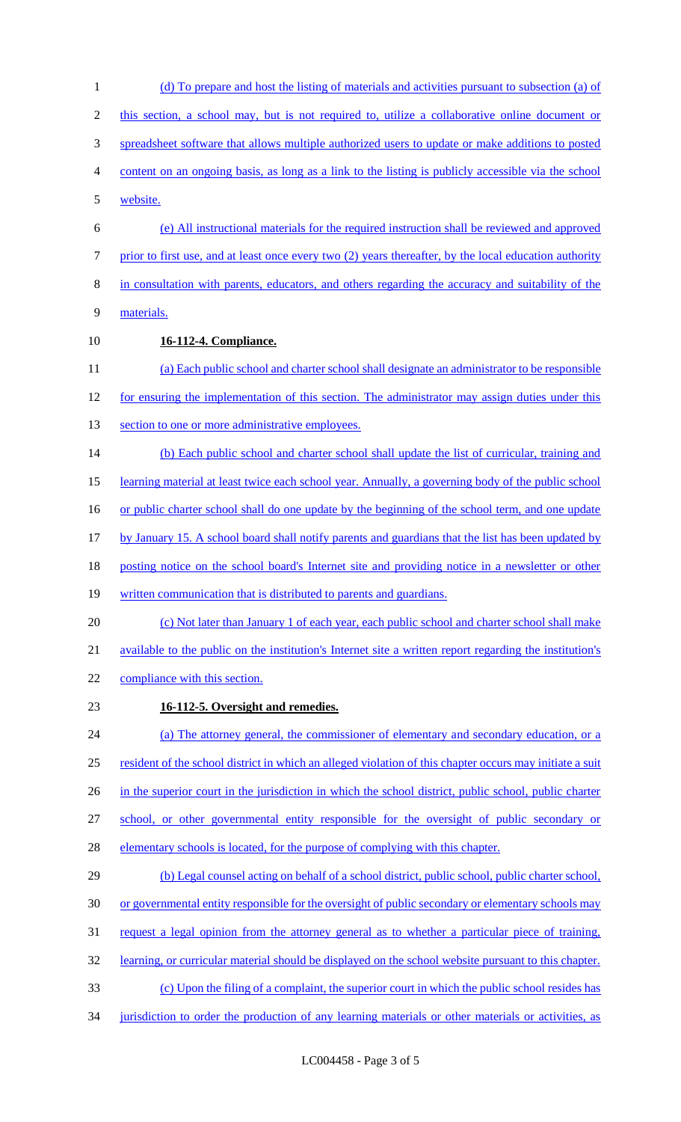(d) To prepare and host the listing of materials and activities pursuant to subsection (a) of this section, a school may, but is not required to, utilize a collaborative online document or spreadsheet software that allows multiple authorized users to update or make additions to posted content on an ongoing basis, as long as a link to the listing is publicly accessible via the school website. (e) All instructional materials for the required instruction shall be reviewed and approved prior to first use, and at least once every two (2) years thereafter, by the local education authority in consultation with parents, educators, and others regarding the accuracy and suitability of the materials. **16-112-4. Compliance.**  (a) Each public school and charter school shall designate an administrator to be responsible 12 for ensuring the implementation of this section. The administrator may assign duties under this 13 section to one or more administrative employees. (b) Each public school and charter school shall update the list of curricular, training and learning material at least twice each school year. Annually, a governing body of the public school 16 or public charter school shall do one update by the beginning of the school term, and one update by January 15. A school board shall notify parents and guardians that the list has been updated by posting notice on the school board's Internet site and providing notice in a newsletter or other written communication that is distributed to parents and guardians. (c) Not later than January 1 of each year, each public school and charter school shall make available to the public on the institution's Internet site a written report regarding the institution's compliance with this section. **16-112-5. Oversight and remedies.**  (a) The attorney general, the commissioner of elementary and secondary education, or a resident of the school district in which an alleged violation of this chapter occurs may initiate a suit 26 in the superior court in the jurisdiction in which the school district, public school, public charter school, or other governmental entity responsible for the oversight of public secondary or 28 elementary schools is located, for the purpose of complying with this chapter. 29 (b) Legal counsel acting on behalf of a school district, public school, public charter school, or governmental entity responsible for the oversight of public secondary or elementary schools may 31 request a legal opinion from the attorney general as to whether a particular piece of training, learning, or curricular material should be displayed on the school website pursuant to this chapter. (c) Upon the filing of a complaint, the superior court in which the public school resides has 34 jurisdiction to order the production of any learning materials or other materials or activities, as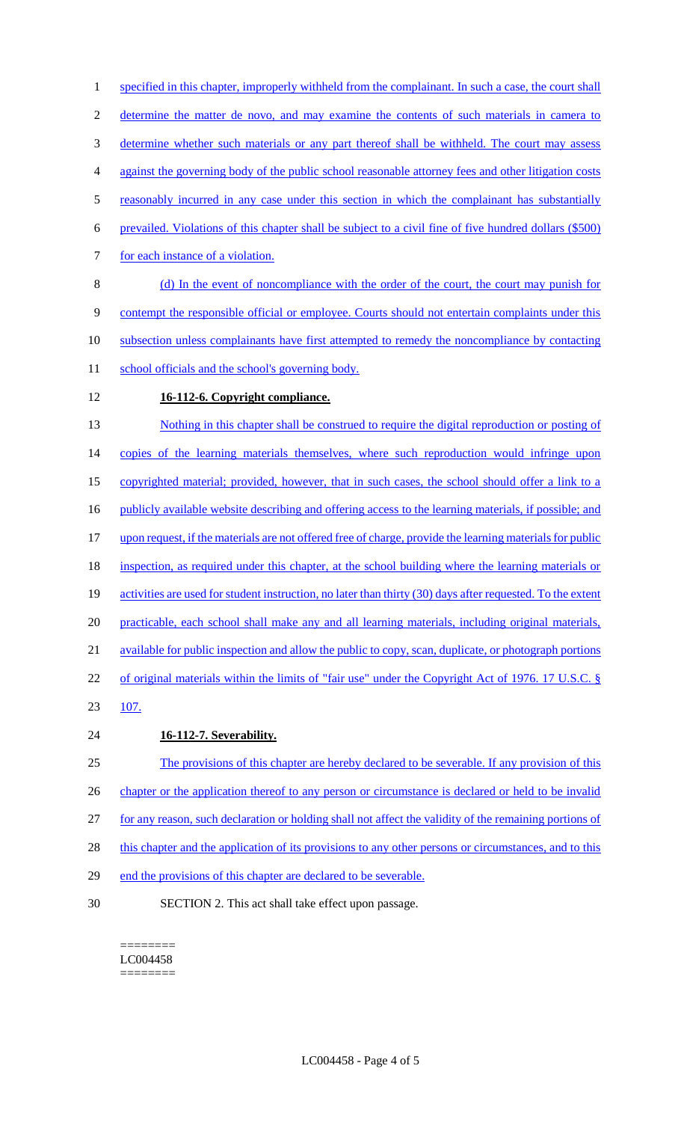1 specified in this chapter, improperly withheld from the complainant. In such a case, the court shall 2 determine the matter de novo, and may examine the contents of such materials in camera to 3 determine whether such materials or any part thereof shall be withheld. The court may assess 4 against the governing body of the public school reasonable attorney fees and other litigation costs 5 reasonably incurred in any case under this section in which the complainant has substantially 6 prevailed. Violations of this chapter shall be subject to a civil fine of five hundred dollars (\$500) 7 for each instance of a violation. 8 (d) In the event of noncompliance with the order of the court, the court may punish for 9 contempt the responsible official or employee. Courts should not entertain complaints under this 10 subsection unless complainants have first attempted to remedy the noncompliance by contacting 11 school officials and the school's governing body. 12 **16-112-6. Copyright compliance.** 

13 Nothing in this chapter shall be construed to require the digital reproduction or posting of 14 copies of the learning materials themselves, where such reproduction would infringe upon 15 copyrighted material; provided, however, that in such cases, the school should offer a link to a 16 publicly available website describing and offering access to the learning materials, if possible; and 17 upon request, if the materials are not offered free of charge, provide the learning materials for public 18 inspection, as required under this chapter, at the school building where the learning materials or 19 activities are used for student instruction, no later than thirty (30) days after requested. To the extent 20 practicable, each school shall make any and all learning materials, including original materials, 21 available for public inspection and allow the public to copy, scan, duplicate, or photograph portions 22 of original materials within the limits of "fair use" under the Copyright Act of 1976. 17 U.S.C. § 23 107. 24 **16-112-7. Severability.**  25 The provisions of this chapter are hereby declared to be severable. If any provision of this 26 chapter or the application thereof to any person or circumstance is declared or held to be invalid

27 for any reason, such declaration or holding shall not affect the validity of the remaining portions of 28 this chapter and the application of its provisions to any other persons or circumstances, and to this

29 end the provisions of this chapter are declared to be severable.

30 SECTION 2. This act shall take effect upon passage.

======== LC004458 ========